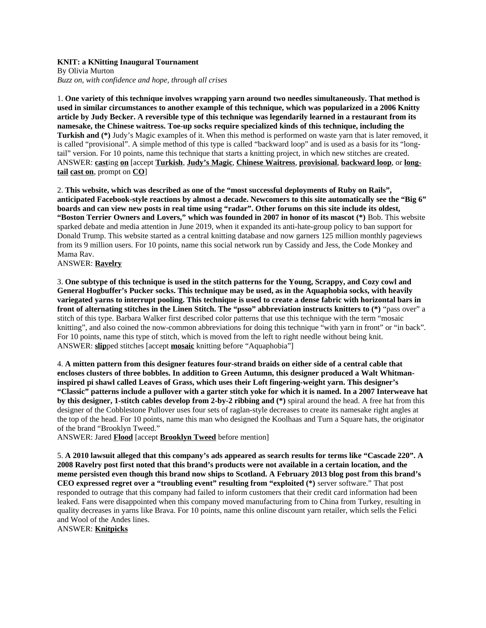## **KNIT: a KNitting Inaugural Tournament**

By Olivia Murton *Buzz on, with confidence and hope, through all crises*

1. **One variety of this technique involves wrapping yarn around two needles simultaneously. That method is used in similar circumstances to another example of this technique, which was popularized in a 2006 Knitty article by Judy Becker. A reversible type of this technique was legendarily learned in a restaurant from its namesake, the Chinese waitress. Toe-up socks require specialized kinds of this technique, including the Turkish and (\*)** Judy's Magic examples of it. When this method is performed on waste yarn that is later removed, it is called "provisional". A simple method of this type is called "backward loop" and is used as a basis for its "longtail" version. For 10 points, name this technique that starts a knitting project, in which new stitches are created. ANSWER: **cast**ing **on** [accept **Turkish**, **Judy's Magic**, **Chinese Waitress**, **provisional**, **backward loop**, or **longtail cast on**, prompt on **CO**]

2. **This website, which was described as one of the "most successful deployments of Ruby on Rails", anticipated Facebook-style reactions by almost a decade. Newcomers to this site automatically see the "Big 6" boards and can view new posts in real time using "radar". Other forums on this site include its oldest, "Boston Terrier Owners and Lovers," which was founded in 2007 in honor of its mascot (\*)** Bob. This website sparked debate and media attention in June 2019, when it expanded its anti-hate-group policy to ban support for Donald Trump. This website started as a central knitting database and now garners 125 million monthly pageviews from its 9 million users. For 10 points, name this social network run by Cassidy and Jess, the Code Monkey and Mama Rav.

ANSWER: **Ravelry**

3. **One subtype of this technique is used in the stitch patterns for the Young, Scrappy, and Cozy cowl and General Hogbuffer's Pucker socks. This technique may be used, as in the Aquaphobia socks, with heavily variegated yarns to interrupt pooling. This technique is used to create a dense fabric with horizontal bars in front of alternating stitches in the Linen Stitch. The "psso" abbreviation instructs knitters to (\*)** "pass over" a stitch of this type. Barbara Walker first described color patterns that use this technique with the term "mosaic knitting", and also coined the now-common abbreviations for doing this technique "with yarn in front" or "in back". For 10 points, name this type of stitch, which is moved from the left to right needle without being knit. ANSWER: **slip**ped stitches [accept **mosaic** knitting before "Aquaphobia"]

4. **A mitten pattern from this designer features four-strand braids on either side of a central cable that encloses clusters of three bobbles. In addition to Green Autumn, this designer produced a Walt Whitmaninspired pi shawl called Leaves of Grass, which uses their Loft fingering-weight yarn. This designer's "Classic" patterns include a pullover with a garter stitch yoke for which it is named. In a 2007 Interweave hat by this designer, 1-stitch cables develop from 2-by-2 ribbing and (\*)** spiral around the head. A free hat from this designer of the Cobblestone Pullover uses four sets of raglan-style decreases to create its namesake right angles at the top of the head. For 10 points, name this man who designed the Koolhaas and Turn a Square hats, the originator of the brand "Brooklyn Tweed."

ANSWER: Jared **Flood** [accept **Brooklyn Tweed** before mention]

5. **A 2010 lawsuit alleged that this company's ads appeared as search results for terms like "Cascade 220". A 2008 Ravelry post first noted that this brand's products were not available in a certain location, and the meme persisted even though this brand now ships to Scotland. A February 2013 blog post from this brand's CEO expressed regret over a "troubling event" resulting from "exploited (\*)** server software." That post responded to outrage that this company had failed to inform customers that their credit card information had been leaked. Fans were disappointed when this company moved manufacturing from to China from Turkey, resulting in quality decreases in yarns like Brava. For 10 points, name this online discount yarn retailer, which sells the Felici and Wool of the Andes lines.

ANSWER: **Knitpicks**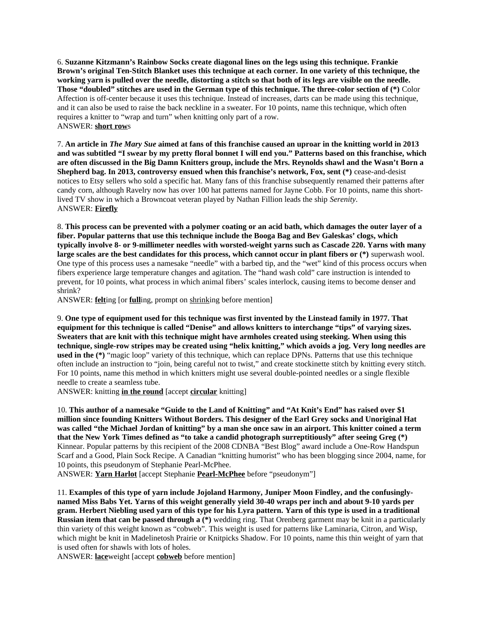6. **Suzanne Kitzmann's Rainbow Socks create diagonal lines on the legs using this technique. Frankie Brown's original Ten-Stitch Blanket uses this technique at each corner. In one variety of this technique, the working yarn is pulled over the needle, distorting a stitch so that both of its legs are visible on the needle. Those "doubled" stitches are used in the German type of this technique. The three-color section of (\*)** Color Affection is off-center because it uses this technique. Instead of increases, darts can be made using this technique, and it can also be used to raise the back neckline in a sweater. For 10 points, name this technique, which often requires a knitter to "wrap and turn" when knitting only part of a row. ANSWER: **short row**s

7. **An article in** *The Mary Sue* **aimed at fans of this franchise caused an uproar in the knitting world in 2013 and was subtitled "I swear by my pretty floral bonnet I will end you." Patterns based on this franchise, which are often discussed in the Big Damn Knitters group, include the Mrs. Reynolds shawl and the Wasn't Born a Shepherd bag. In 2013, controversy ensued when this franchise's network, Fox, sent (\*)** cease-and-desist notices to Etsy sellers who sold a specific hat. Many fans of this franchise subsequently renamed their patterns after candy corn, although Ravelry now has over 100 hat patterns named for Jayne Cobb. For 10 points, name this shortlived TV show in which a Browncoat veteran played by Nathan Fillion leads the ship *Serenity*. ANSWER: **Firefly**

8. **This process can be prevented with a polymer coating or an acid bath, which damages the outer layer of a fiber. Popular patterns that use this technique include the Booga Bag and Bev Galeskas' clogs, which typically involve 8- or 9-millimeter needles with worsted-weight yarns such as Cascade 220. Yarns with many large scales are the best candidates for this process, which cannot occur in plant fibers or (\*)** superwash wool. One type of this process uses a namesake "needle" with a barbed tip, and the "wet" kind of this process occurs when fibers experience large temperature changes and agitation. The "hand wash cold" care instruction is intended to prevent, for 10 points, what process in which animal fibers' scales interlock, causing items to become denser and shrink?

ANSWER: **felt**ing [or **full**ing, prompt on shrinking before mention]

9. **One type of equipment used for this technique was first invented by the Linstead family in 1977. That equipment for this technique is called "Denise" and allows knitters to interchange "tips" of varying sizes. Sweaters that are knit with this technique might have armholes created using steeking. When using this technique, single-row stripes may be created using "helix knitting," which avoids a jog. Very long needles are used in the (\*)** "magic loop" variety of this technique, which can replace DPNs. Patterns that use this technique often include an instruction to "join, being careful not to twist," and create stockinette stitch by knitting every stitch. For 10 points, name this method in which knitters might use several double-pointed needles or a single flexible needle to create a seamless tube.

ANSWER: knitting **in the round** [accept **circular** knitting]

10. **This author of a namesake "Guide to the Land of Knitting" and "At Knit's End" has raised over \$1 million since founding Knitters Without Borders. This designer of the Earl Grey socks and Unoriginal Hat was called "the Michael Jordan of knitting" by a man she once saw in an airport. This knitter coined a term that the New York Times defined as "to take a candid photograph surreptitiously" after seeing Greg (\*)**  Kinnear. Popular patterns by this recipient of the 2008 CDNBA "Best Blog" award include a One-Row Handspun Scarf and a Good, Plain Sock Recipe. A Canadian "knitting humorist" who has been blogging since 2004, name, for 10 points, this pseudonym of Stephanie Pearl-McPhee.

ANSWER: **Yarn Harlot** [accept Stephanie **Pearl-McPhee** before "pseudonym"]

11. **Examples of this type of yarn include Jojoland Harmony, Juniper Moon Findley, and the confusinglynamed Miss Babs Yet. Yarns of this weight generally yield 30-40 wraps per inch and about 9-10 yards per gram. Herbert Niebling used yarn of this type for his Lyra pattern. Yarn of this type is used in a traditional Russian item that can be passed through a (\*)** wedding ring. That Orenberg garment may be knit in a particularly thin variety of this weight known as "cobweb". This weight is used for patterns like Laminaria, Citron, and Wisp, which might be knit in Madelinetosh Prairie or Knitpicks Shadow. For 10 points, name this thin weight of yarn that is used often for shawls with lots of holes.

ANSWER: **lace**weight [accept **cobweb** before mention]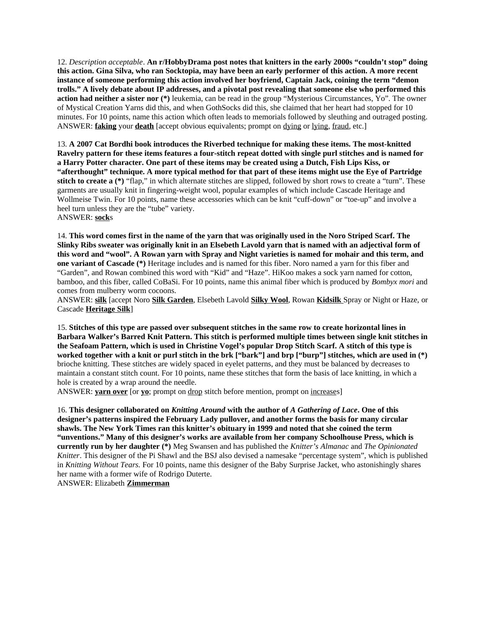12. *Description acceptable*. **An r/HobbyDrama post notes that knitters in the early 2000s "couldn't stop" doing this action. Gina Silva, who ran Socktopia, may have been an early performer of this action. A more recent instance of someone performing this action involved her boyfriend, Captain Jack, coining the term "demon trolls." A lively debate about IP addresses, and a pivotal post revealing that someone else who performed this action had neither a sister nor (\*)** leukemia, can be read in the group "Mysterious Circumstances, Yo". The owner of Mystical Creation Yarns did this, and when GothSocks did this, she claimed that her heart had stopped for 10 minutes. For 10 points, name this action which often leads to memorials followed by sleuthing and outraged posting. ANSWER: **faking** your **death** [accept obvious equivalents; prompt on dying or lying, fraud, etc.]

13. **A 2007 Cat Bordhi book introduces the Riverbed technique for making these items. The most-knitted Ravelry pattern for these items features a four-stitch repeat dotted with single purl stitches and is named for a Harry Potter character. One part of these items may be created using a Dutch, Fish Lips Kiss, or "afterthought" technique. A more typical method for that part of these items might use the Eye of Partridge stitch to create a (\*)** "flap," in which alternate stitches are slipped, followed by short rows to create a "turn". These garments are usually knit in fingering-weight wool, popular examples of which include Cascade Heritage and Wollmeise Twin. For 10 points, name these accessories which can be knit "cuff-down" or "toe-up" and involve a heel turn unless they are the "tube" variety. ANSWER: **sock**s

14. **This word comes first in the name of the yarn that was originally used in the Noro Striped Scarf. The Slinky Ribs sweater was originally knit in an Elsebeth Lavold yarn that is named with an adjectival form of this word and "wool". A Rowan yarn with Spray and Night varieties is named for mohair and this term, and one variant of Cascade (\*)** Heritage includes and is named for this fiber. Noro named a yarn for this fiber and "Garden", and Rowan combined this word with "Kid" and "Haze". HiKoo makes a sock yarn named for cotton, bamboo, and this fiber, called CoBaSi. For 10 points, name this animal fiber which is produced by *Bombyx mori* and comes from mulberry worm cocoons.

ANSWER: **silk** [accept Noro **Silk Garden**, Elsebeth Lavold **Silky Wool**, Rowan **Kidsilk** Spray or Night or Haze, or Cascade **Heritage Silk**]

15. **Stitches of this type are passed over subsequent stitches in the same row to create horizontal lines in Barbara Walker's Barred Knit Pattern. This stitch is performed multiple times between single knit stitches in the Seafoam Pattern, which is used in Christine Vogel's popular Drop Stitch Scarf. A stitch of this type is worked together with a knit or purl stitch in the brk ["bark"] and brp ["burp"] stitches, which are used in (\*)** brioche knitting. These stitches are widely spaced in eyelet patterns, and they must be balanced by decreases to maintain a constant stitch count. For 10 points, name these stitches that form the basis of lace knitting, in which a hole is created by a wrap around the needle.

ANSWER: **yarn over** [or **yo**; prompt on drop stitch before mention, prompt on increases]

16. **This designer collaborated on** *Knitting Around* **with the author of** *A Gathering of Lace***. One of this designer's patterns inspired the February Lady pullover, and another forms the basis for many circular shawls. The New York Times ran this knitter's obituary in 1999 and noted that she coined the term "unventions." Many of this designer's works are available from her company Schoolhouse Press, which is currently run by her daughter (\*)** Meg Swansen and has published the *Knitter's Almanac* and *The Opinionated Knitter*. This designer of the Pi Shawl and the BSJ also devised a namesake "percentage system", which is published in *Knitting Without Tears.* For 10 points, name this designer of the Baby Surprise Jacket, who astonishingly shares her name with a former wife of Rodrigo Duterte.

ANSWER: Elizabeth **Zimmerman**